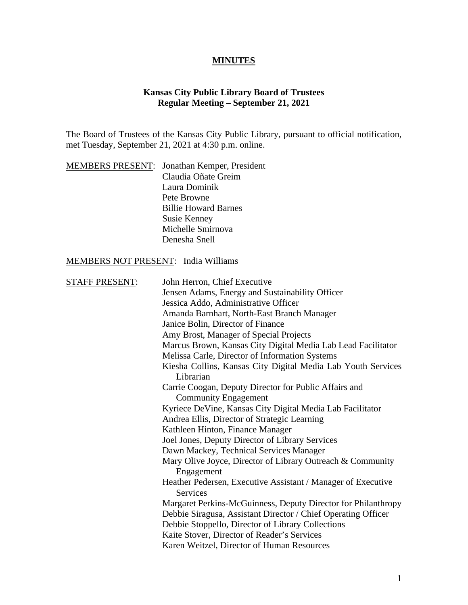### **MINUTES**

## **Kansas City Public Library Board of Trustees Regular Meeting – September 21, 2021**

The Board of Trustees of the Kansas City Public Library, pursuant to official notification, met Tuesday, September 21, 2021 at 4:30 p.m. online.

|  | <b>MEMBERS PRESENT:</b> Jonathan Kemper, President |
|--|----------------------------------------------------|
|  | Claudia Oñate Greim                                |
|  | Laura Dominik                                      |
|  | Pete Browne                                        |
|  | <b>Billie Howard Barnes</b>                        |
|  | <b>Susie Kenney</b>                                |
|  | Michelle Smirnova                                  |
|  | Denesha Snell                                      |

### MEMBERS NOT PRESENT: India Williams

| <b>STAFF PRESENT:</b> | John Herron, Chief Executive                                                    |
|-----------------------|---------------------------------------------------------------------------------|
|                       | Jensen Adams, Energy and Sustainability Officer                                 |
|                       | Jessica Addo, Administrative Officer                                            |
|                       | Amanda Barnhart, North-East Branch Manager                                      |
|                       | Janice Bolin, Director of Finance                                               |
|                       | Amy Brost, Manager of Special Projects                                          |
|                       | Marcus Brown, Kansas City Digital Media Lab Lead Facilitator                    |
|                       | Melissa Carle, Director of Information Systems                                  |
|                       | Kiesha Collins, Kansas City Digital Media Lab Youth Services                    |
| Librarian             |                                                                                 |
|                       | Carrie Coogan, Deputy Director for Public Affairs and                           |
|                       | <b>Community Engagement</b>                                                     |
|                       | Kyriece DeVine, Kansas City Digital Media Lab Facilitator                       |
|                       | Andrea Ellis, Director of Strategic Learning                                    |
|                       | Kathleen Hinton, Finance Manager                                                |
|                       | Joel Jones, Deputy Director of Library Services                                 |
|                       | Dawn Mackey, Technical Services Manager                                         |
|                       | Mary Olive Joyce, Director of Library Outreach & Community<br>Engagement        |
|                       | Heather Pedersen, Executive Assistant / Manager of Executive<br><b>Services</b> |
|                       | Margaret Perkins-McGuinness, Deputy Director for Philanthropy                   |
|                       | Debbie Siragusa, Assistant Director / Chief Operating Officer                   |
|                       | Debbie Stoppello, Director of Library Collections                               |
|                       | Kaite Stover, Director of Reader's Services                                     |
|                       | Karen Weitzel, Director of Human Resources                                      |
|                       |                                                                                 |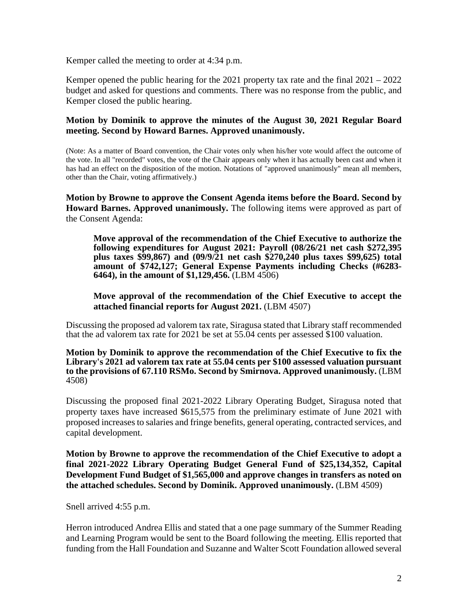Kemper called the meeting to order at 4:34 p.m.

Kemper opened the public hearing for the 2021 property tax rate and the final 2021 – 2022 budget and asked for questions and comments. There was no response from the public, and Kemper closed the public hearing.

### **Motion by Dominik to approve the minutes of the August 30, 2021 Regular Board meeting. Second by Howard Barnes. Approved unanimously.**

(Note: As a matter of Board convention, the Chair votes only when his/her vote would affect the outcome of the vote. In all "recorded" votes, the vote of the Chair appears only when it has actually been cast and when it has had an effect on the disposition of the motion. Notations of "approved unanimously" mean all members, other than the Chair, voting affirmatively.)

**Motion by Browne to approve the Consent Agenda items before the Board. Second by Howard Barnes. Approved unanimously.** The following items were approved as part of the Consent Agenda:

**Move approval of the recommendation of the Chief Executive to authorize the following expenditures for August 2021: Payroll (08/26/21 net cash \$272,395 plus taxes \$99,867) and (09/9/21 net cash \$270,240 plus taxes \$99,625) total amount of \$742,127; General Expense Payments including Checks (#6283- 6464), in the amount of \$1,129,456.** (LBM 4506)

#### **Move approval of the recommendation of the Chief Executive to accept the attached financial reports for August 2021.** (LBM 4507)

Discussing the proposed ad valorem tax rate, Siragusa stated that Library staff recommended that the ad valorem tax rate for 2021 be set at 55.04 cents per assessed \$100 valuation.

#### **Motion by Dominik to approve the recommendation of the Chief Executive to fix the Library's 2021 ad valorem tax rate at 55.04 cents per \$100 assessed valuation pursuant to the provisions of 67.110 RSMo. Second by Smirnova. Approved unanimously.** (LBM 4508)

Discussing the proposed final 2021-2022 Library Operating Budget, Siragusa noted that property taxes have increased \$615,575 from the preliminary estimate of June 2021 with proposed increases to salaries and fringe benefits, general operating, contracted services, and capital development.

**Motion by Browne to approve the recommendation of the Chief Executive to adopt a final 2021-2022 Library Operating Budget General Fund of \$25,134,352, Capital Development Fund Budget of \$1,565,000 and approve changes in transfers as noted on the attached schedules. Second by Dominik. Approved unanimously.** (LBM 4509)

Snell arrived 4:55 p.m.

Herron introduced Andrea Ellis and stated that a one page summary of the Summer Reading and Learning Program would be sent to the Board following the meeting. Ellis reported that funding from the Hall Foundation and Suzanne and Walter Scott Foundation allowed several